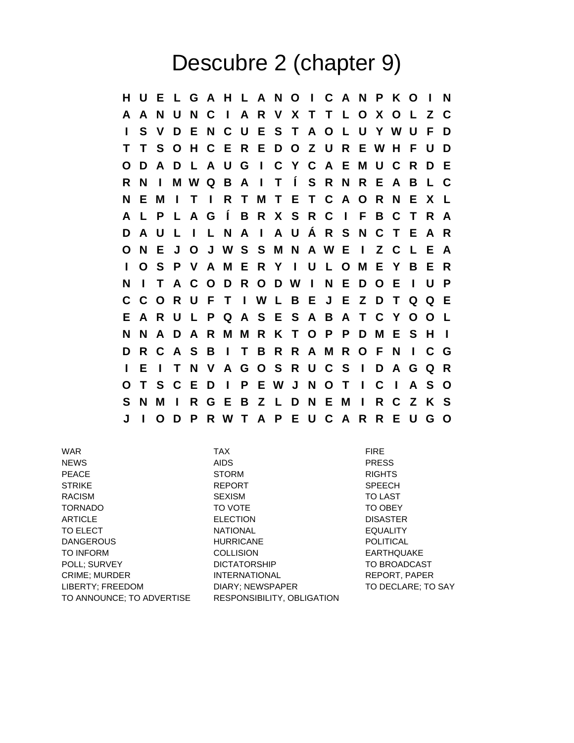## Descubre 2 (chapter 9)

**H U E L G A H L A N O I C A N P K O I N A A N U N C I A R V X T T L O X O L Z C I S V D E N C U E S T A O L U Y W U F D T T S O H C E R E D O Z U R E W H F U D O D A D L A U G I C Y C A E M U C R D E R N I M W Q B A I T Í S R N R E A B L C N E M I T I R T M T E T C A O R N E X L A L P L A G Í B R X S R C I F B C T R A D A U L I L N A I A U Á R S N C T E A R O N E J O J W S S M N A W E I Z C L E A I O S P V A M E R Y I U L O M E Y B E R N I T A C O D R O D W I N E D O E I U P C C O R U F T I W L B E J E Z D T Q Q E E A R U L P Q A S E S A B A T C Y O O L N N A D A R M M R K T O P P D M E S H I D R C A S B I T B R R A M R O F N I C G I E I T N V A G O S R U C S I D A G Q R O T S C E D I P E W J N O T I C I A S O S N M I R G E B Z L D N E M I R C Z K S J I O D P R W T A P E U C A R R E U G O**

WAR TAX FIRE NEWS AIDS PRESS PEACE STORM RIGHTS STRIKE SPEECH REPORT SPEECH RACISM SEXISM TO LAST TORNADO TO VOTE TO OBEY ARTICLE ELECTION DISASTER TO ELECT **NATIONAL NATIONAL EQUALITY** DANGEROUS HURRICANE POLITICAL TO INFORM COLLISION EARTHQUAKE POLL; SURVEY **DICTATORSHIP** TO BROADCAST CRIME; MURDER INTERNATIONAL REPORT, PAPER LIBERTY; FREEDOM DIARY; NEWSPAPER TO DECLARE; TO SAY TO ANNOUNCE; TO ADVERTISE RESPONSIBILITY, OBLIGATION